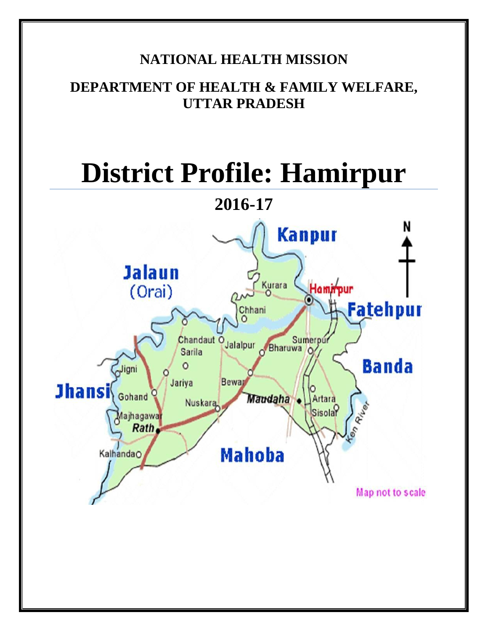# **NATIONAL HEALTH MISSION**

# **DEPARTMENT OF HEALTH & FAMILY WELFARE, UTTAR PRADESH**

# **District Profile: Hamirpur**



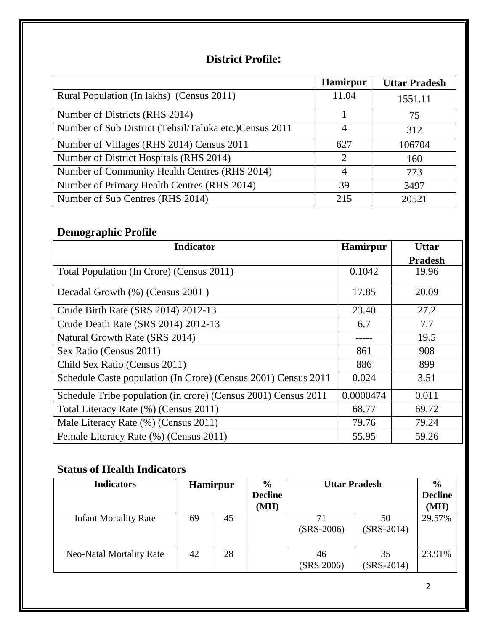### **District Profile:**

|                                                         | <b>Hamirpur</b> | <b>Uttar Pradesh</b> |
|---------------------------------------------------------|-----------------|----------------------|
| Rural Population (In lakhs) (Census 2011)               | 11.04           | 1551.11              |
| Number of Districts (RHS 2014)                          |                 | 75                   |
| Number of Sub District (Tehsil/Taluka etc.) Census 2011 | 4               | 312                  |
| Number of Villages (RHS 2014) Census 2011               | 627             | 106704               |
| Number of District Hospitals (RHS 2014)                 | 2               | 160                  |
| Number of Community Health Centres (RHS 2014)           | 4               | 773                  |
| Number of Primary Health Centres (RHS 2014)             | 39              | 3497                 |
| Number of Sub Centres (RHS 2014)                        | 215             | 20521                |

# **Demographic Profile**

| <b>Indicator</b>                                               | <b>Hamirpur</b> | <b>Uttar</b>   |
|----------------------------------------------------------------|-----------------|----------------|
|                                                                |                 | <b>Pradesh</b> |
| Total Population (In Crore) (Census 2011)                      | 0.1042          | 19.96          |
| Decadal Growth (%) (Census 2001)                               | 17.85           | 20.09          |
| Crude Birth Rate (SRS 2014) 2012-13                            | 23.40           | 27.2           |
| Crude Death Rate (SRS 2014) 2012-13                            | 6.7             | 7.7            |
| Natural Growth Rate (SRS 2014)                                 |                 | 19.5           |
| Sex Ratio (Census 2011)                                        | 861             | 908            |
| Child Sex Ratio (Census 2011)                                  | 886             | 899            |
| Schedule Caste population (In Crore) (Census 2001) Census 2011 | 0.024           | 3.51           |
| Schedule Tribe population (in crore) (Census 2001) Census 2011 | 0.0000474       | 0.011          |
| Total Literacy Rate (%) (Census 2011)                          | 68.77           | 69.72          |
| Male Literacy Rate (%) (Census 2011)                           | 79.76           | 79.24          |
| Female Literacy Rate (%) (Census 2011)                         | 55.95           | 59.26          |

# **Status of Health Indicators**

| <b>Indicators</b>               | <b>Hamirpur</b> |    | $\frac{6}{9}$<br><b>Decline</b><br>(MH) | <b>Uttar Pradesh</b> |                    | $\frac{6}{9}$<br><b>Decline</b><br>(MH) |
|---------------------------------|-----------------|----|-----------------------------------------|----------------------|--------------------|-----------------------------------------|
| <b>Infant Mortality Rate</b>    | 69              | 45 |                                         | 71<br>$(SRS-2006)$   | 50<br>$(SRS-2014)$ | 29.57%                                  |
| <b>Neo-Natal Mortality Rate</b> | 42              | 28 |                                         | 46<br>(SRS 2006)     | 35<br>$(SRS-2014)$ | 23.91%                                  |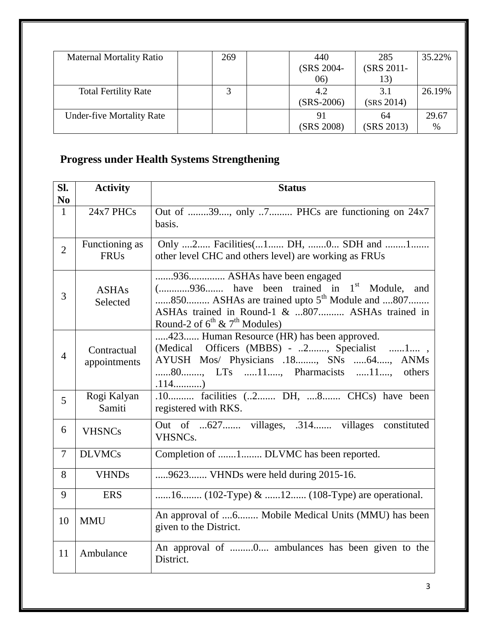| <b>Maternal Mortality Ratio</b>  | 269 | 440          | 285        | 35.22% |
|----------------------------------|-----|--------------|------------|--------|
|                                  |     | (SRS 2004-   | (SRS 2011- |        |
|                                  |     | 06)          | 13)        |        |
| <b>Total Fertility Rate</b>      |     | 4.2          | 3.1        | 26.19% |
|                                  |     | $(SRS-2006)$ | (SRS 2014) |        |
| <b>Under-five Mortality Rate</b> |     |              | 64         | 29.67  |
|                                  |     | (SRS 2008)   | (SRS 2013) | %      |

# **Progress under Health Systems Strengthening**

| SI.<br>N <sub>0</sub> | <b>Activity</b>               | <b>Status</b>                                                                                                                                                                                                                            |
|-----------------------|-------------------------------|------------------------------------------------------------------------------------------------------------------------------------------------------------------------------------------------------------------------------------------|
| $\mathbf{1}$          | 24x7 PHCs                     | Out of 39, only 7 PHCs are functioning on 24x7<br>basis.                                                                                                                                                                                 |
| $\overline{2}$        | Functioning as<br><b>FRUs</b> | Only 2 Facilities(1 DH, 0 SDH and 1<br>other level CHC and others level) are working as FRUs                                                                                                                                             |
| 3                     | <b>ASHAs</b><br>Selected      | 936 ASHAs have been engaged<br>$($ 936 have been trained in $1st$ Module, and<br>850 ASHAs are trained upto 5 <sup>th</sup> Module and 807<br>ASHAs trained in Round-1 & 807 ASHAs trained in<br>Round-2 of $6^{th}$ & $7^{th}$ Modules) |
| $\overline{4}$        | Contractual<br>appointments   | 423 Human Resource (HR) has been approved.<br>(Medical Officers (MBBS) - 2, Specialist 1,<br>AYUSH Mos/ Physicians .18, SNs 64, ANMs<br>80, LTs 11, Pharmacists 11, others                                                               |
| 5                     | Rogi Kalyan<br>Samiti         | .10 facilities (2 DH, 8 CHCs) have been<br>registered with RKS.                                                                                                                                                                          |
| 6                     | <b>VHSNCs</b>                 | Out of 627 villages, .314 villages constituted<br>VHSNC <sub>s</sub> .                                                                                                                                                                   |
| 7                     | <b>DLVMCs</b>                 | Completion of 1 DLVMC has been reported.                                                                                                                                                                                                 |
| 8                     | <b>VHNDs</b>                  | 9623 VHNDs were held during 2015-16.                                                                                                                                                                                                     |
| 9                     | <b>ERS</b>                    | 16 (102-Type) & 12 (108-Type) are operational.                                                                                                                                                                                           |
| 10                    | <b>MMU</b>                    | An approval of 6 Mobile Medical Units (MMU) has been<br>given to the District.                                                                                                                                                           |
| 11                    | Ambulance                     | An approval of 0 ambulances has been given to the<br>District.                                                                                                                                                                           |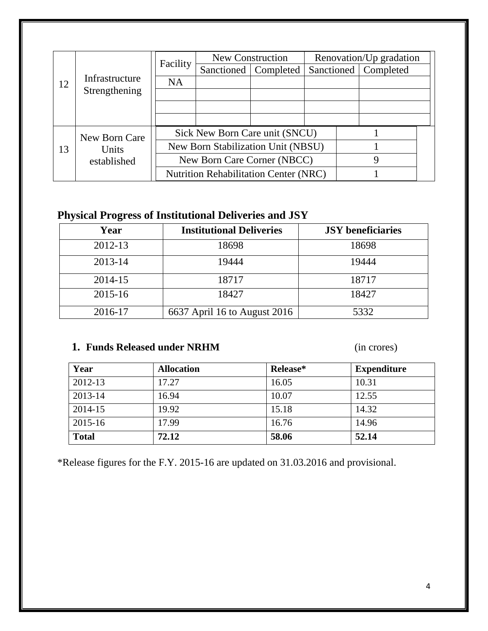|             | Facility       | New Construction                             |  | Renovation/Up gradation        |  |                        |  |
|-------------|----------------|----------------------------------------------|--|--------------------------------|--|------------------------|--|
|             |                |                                              |  | Sanctioned   Completed         |  | Sanctioned   Completed |  |
| 12          | Infrastructure | <b>NA</b>                                    |  |                                |  |                        |  |
|             | Strengthening  |                                              |  |                                |  |                        |  |
|             |                |                                              |  |                                |  |                        |  |
|             |                |                                              |  |                                |  |                        |  |
|             | New Born Care  |                                              |  | Sick New Born Care unit (SNCU) |  |                        |  |
| 13          | Units          | New Born Stabilization Unit (NBSU)           |  |                                |  |                        |  |
| established |                | New Born Care Corner (NBCC)                  |  |                                |  |                        |  |
|             |                | <b>Nutrition Rehabilitation Center (NRC)</b> |  |                                |  |                        |  |

# **Physical Progress of Institutional Deliveries and JSY**

| Year    | <b>Institutional Deliveries</b> | <b>JSY</b> beneficiaries |
|---------|---------------------------------|--------------------------|
| 2012-13 | 18698                           | 18698                    |
| 2013-14 | 19444                           | 19444                    |
| 2014-15 | 18717                           | 18717                    |
| 2015-16 | 18427                           | 18427                    |
| 2016-17 | 6637 April 16 to August 2016    | 5332                     |

## **1. Funds Released under NRHM** (in crores)

| Year         | <b>Allocation</b> | Release* | <b>Expenditure</b> |
|--------------|-------------------|----------|--------------------|
| 2012-13      | 17.27             | 16.05    | 10.31              |
| 2013-14      | 16.94             | 10.07    | 12.55              |
| 2014-15      | 19.92             | 15.18    | 14.32              |
| 2015-16      | 17.99             | 16.76    | 14.96              |
| <b>Total</b> | 72.12             | 58.06    | 52.14              |

\*Release figures for the F.Y. 2015-16 are updated on 31.03.2016 and provisional.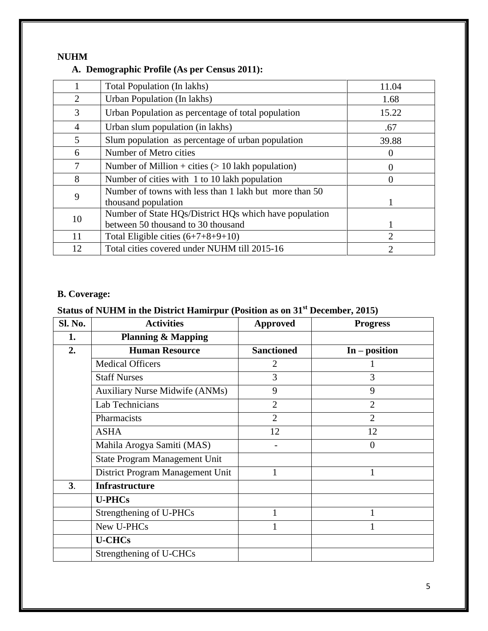#### **NUHM**

#### **A. Demographic Profile (As per Census 2011):**

|                | Total Population (In lakhs)                                                                  | 11.04                 |
|----------------|----------------------------------------------------------------------------------------------|-----------------------|
| 2              | Urban Population (In lakhs)                                                                  | 1.68                  |
| 3              | Urban Population as percentage of total population                                           | 15.22                 |
| $\overline{4}$ | Urban slum population (in lakhs)                                                             | .67                   |
| 5              | Slum population as percentage of urban population                                            | 39.88                 |
| 6              | Number of Metro cities                                                                       | $\theta$              |
| 7              | Number of Million + cities $(> 10$ lakh population)                                          | 0                     |
| 8              | Number of cities with 1 to 10 lakh population                                                | 0                     |
| 9              | Number of towns with less than 1 lakh but more than 50<br>thousand population                |                       |
| 10             | Number of State HQs/District HQs which have population<br>between 50 thousand to 30 thousand |                       |
| 11             | Total Eligible cities $(6+7+8+9+10)$                                                         | $\mathcal{D}_{\cdot}$ |
| 12             | Total cities covered under NUHM till 2015-16                                                 | 2                     |

#### **B. Coverage:**

# **Status of NUHM in the District Hamirpur (Position as on 31st December, 2015)**

| Sl. No.        | <b>Activities</b>                     | <b>Approved</b>   | <b>Progress</b> |
|----------------|---------------------------------------|-------------------|-----------------|
| 1.             | <b>Planning &amp; Mapping</b>         |                   |                 |
| 2.             | <b>Human Resource</b>                 | <b>Sanctioned</b> | $In - position$ |
|                | <b>Medical Officers</b>               | $\overline{2}$    |                 |
|                | <b>Staff Nurses</b>                   | 3                 | 3               |
|                | <b>Auxiliary Nurse Midwife (ANMs)</b> | 9                 | 9               |
|                | Lab Technicians                       | $\overline{2}$    | $\overline{2}$  |
|                | Pharmacists                           | $\overline{2}$    | $\overline{2}$  |
|                | <b>ASHA</b>                           | 12                | 12              |
|                | Mahila Arogya Samiti (MAS)            |                   | $\overline{0}$  |
|                | State Program Management Unit         |                   |                 |
|                | District Program Management Unit      | $\mathbf{1}$      |                 |
| 3 <sub>1</sub> | <b>Infrastructure</b>                 |                   |                 |
|                | <b>U-PHCs</b>                         |                   |                 |
|                | Strengthening of U-PHCs               |                   |                 |
|                | New U-PHCs                            |                   |                 |
|                | <b>U-CHCs</b>                         |                   |                 |
|                | Strengthening of U-CHCs               |                   |                 |